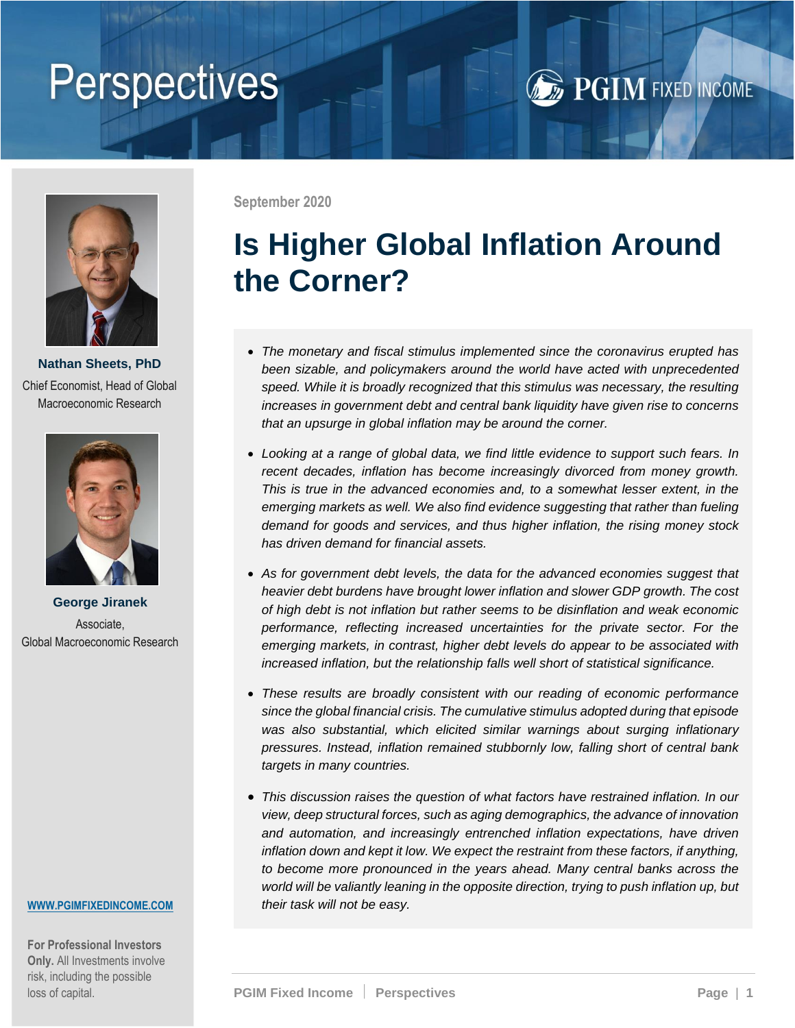# **Perspectives**





**Nathan Sheets, PhD** Chief Economist, Head of Global Macroeconomic Research



**George Jiranek** Associate, Global Macroeconomic Research

#### **[WWW.PGIMFIXEDINCOME.COM](https://www.pgim.com/fixed-income/)**

**For Professional Investors Only.** All Investments involve risk, including the possible loss of capital.

**September 2020**

## **Is Higher Global Inflation Around the Corner?**

- *The monetary and fiscal stimulus implemented since the coronavirus erupted has been sizable, and policymakers around the world have acted with unprecedented speed. While it is broadly recognized that this stimulus was necessary, the resulting increases in government debt and central bank liquidity have given rise to concerns that an upsurge in global inflation may be around the corner.*
- *Looking at a range of global data, we find little evidence to support such fears. In recent decades, inflation has become increasingly divorced from money growth. This is true in the advanced economies and, to a somewhat lesser extent, in the emerging markets as well. We also find evidence suggesting that rather than fueling demand for goods and services, and thus higher inflation, the rising money stock has driven demand for financial assets.*
- *As for government debt levels, the data for the advanced economies suggest that heavier debt burdens have brought lower inflation and slower GDP growth. The cost of high debt is not inflation but rather seems to be disinflation and weak economic performance, reflecting increased uncertainties for the private sector. For the emerging markets, in contrast, higher debt levels do appear to be associated with increased inflation, but the relationship falls well short of statistical significance.*
- *These results are broadly consistent with our reading of economic performance since the global financial crisis. The cumulative stimulus adopted during that episode was also substantial, which elicited similar warnings about surging inflationary pressures. Instead, inflation remained stubbornly low, falling short of central bank targets in many countries.*
- *This discussion raises the question of what factors have restrained inflation. In our view, deep structural forces, such as aging demographics, the advance of innovation and automation, and increasingly entrenched inflation expectations, have driven inflation down and kept it low. We expect the restraint from these factors, if anything, to become more pronounced in the years ahead. Many central banks across the world will be valiantly leaning in the opposite direction, trying to push inflation up, but their task will not be easy.*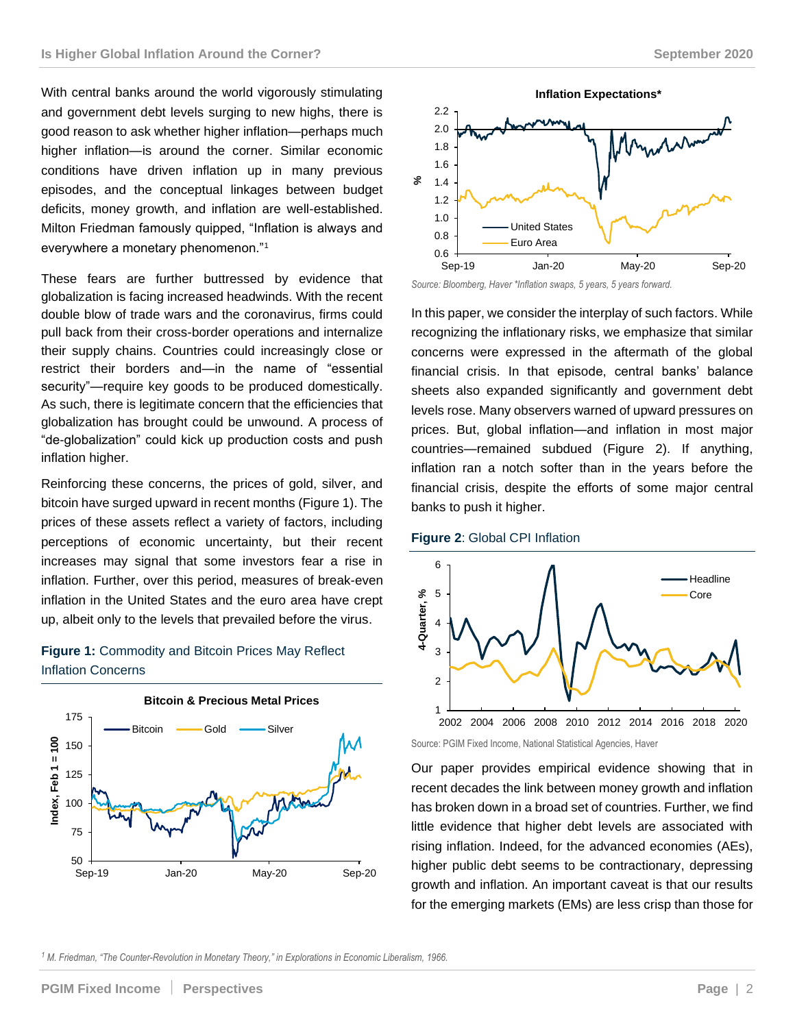With central banks around the world vigorously stimulating and government debt levels surging to new highs, there is good reason to ask whether higher inflation—perhaps much higher inflation—is around the corner. Similar economic conditions have driven inflation up in many previous episodes, and the conceptual linkages between budget deficits, money growth, and inflation are well-established. Milton Friedman famously quipped, "Inflation is always and everywhere a monetary phenomenon."<sup>1</sup>

These fears are further buttressed by evidence that globalization is facing increased headwinds. With the recent double blow of trade wars and the coronavirus, firms could pull back from their cross-border operations and internalize their supply chains. Countries could increasingly close or restrict their borders and—in the name of "essential security"—require key goods to be produced domestically. As such, there is legitimate concern that the efficiencies that globalization has brought could be unwound. A process of "de-globalization" could kick up production costs and push inflation higher.

Reinforcing these concerns, the prices of gold, silver, and bitcoin have surged upward in recent months (Figure 1). The prices of these assets reflect a variety of factors, including perceptions of economic uncertainty, but their recent increases may signal that some investors fear a rise in inflation. Further, over this period, measures of break-even inflation in the United States and the euro area have crept up, albeit only to the levels that prevailed before the virus.

### **Figure 1:** Commodity and Bitcoin Prices May Reflect Inflation Concerns





*Source: Bloomberg, Haver \*Inflation swaps, 5 years, 5 years forward.*

In this paper, we consider the interplay of such factors. While recognizing the inflationary risks, we emphasize that similar concerns were expressed in the aftermath of the global financial crisis. In that episode, central banks' balance sheets also expanded significantly and government debt levels rose. Many observers warned of upward pressures on prices. But, global inflation—and inflation in most major countries—remained subdued (Figure 2). If anything, inflation ran a notch softer than in the years before the financial crisis, despite the efforts of some major central banks to push it higher.





Source: PGIM Fixed Income, National Statistical Agencies, Haver

Our paper provides empirical evidence showing that in recent decades the link between money growth and inflation has broken down in a broad set of countries. Further, we find little evidence that higher debt levels are associated with rising inflation. Indeed, for the advanced economies (AEs), higher public debt seems to be contractionary, depressing growth and inflation. An important caveat is that our results for the emerging markets (EMs) are less crisp than those for

*<sup>1</sup> M. Friedman, "The Counter-Revolution in Monetary Theory," in Explorations in Economic Liberalism, 1966.*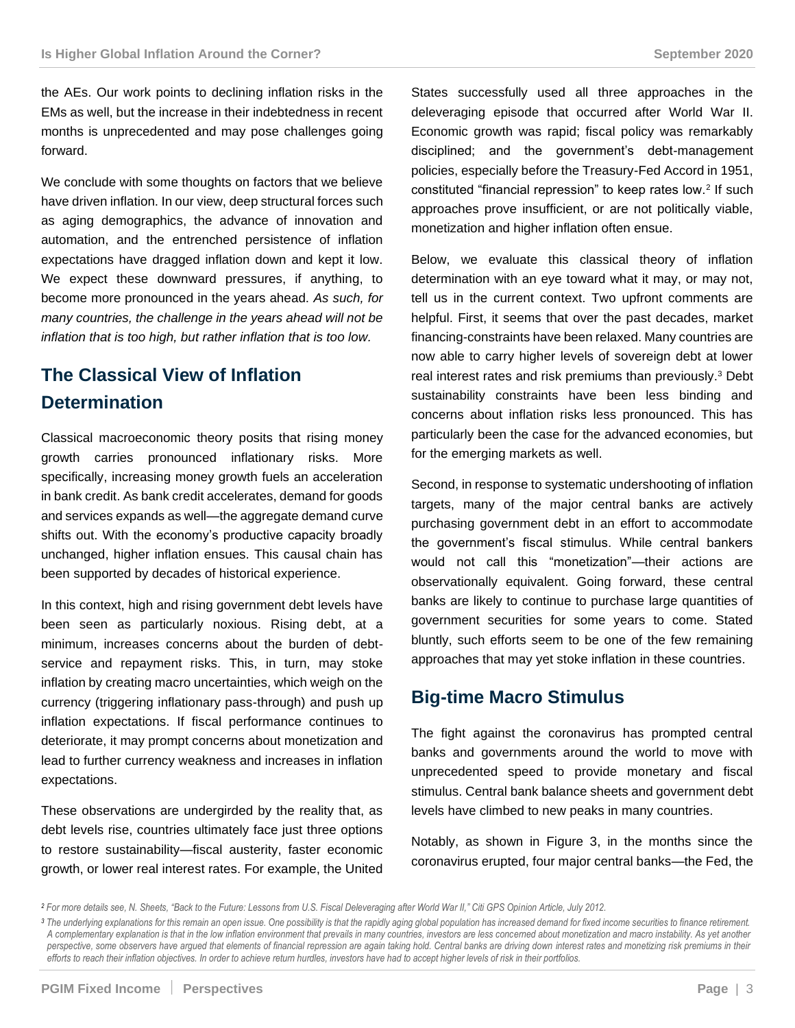the AEs. Our work points to declining inflation risks in the EMs as well, but the increase in their indebtedness in recent months is unprecedented and may pose challenges going forward.

We conclude with some thoughts on factors that we believe have driven inflation. In our view, deep structural forces such as aging demographics, the advance of innovation and automation, and the entrenched persistence of inflation expectations have dragged inflation down and kept it low. We expect these downward pressures, if anything, to become more pronounced in the years ahead. *As such, for many countries, the challenge in the years ahead will not be inflation that is too high, but rather inflation that is too low.*

## **The Classical View of Inflation Determination**

Classical macroeconomic theory posits that rising money growth carries pronounced inflationary risks. More specifically, increasing money growth fuels an acceleration in bank credit. As bank credit accelerates, demand for goods and services expands as well—the aggregate demand curve shifts out. With the economy's productive capacity broadly unchanged, higher inflation ensues. This causal chain has been supported by decades of historical experience.

In this context, high and rising government debt levels have been seen as particularly noxious. Rising debt, at a minimum, increases concerns about the burden of debtservice and repayment risks. This, in turn, may stoke inflation by creating macro uncertainties, which weigh on the currency (triggering inflationary pass-through) and push up inflation expectations. If fiscal performance continues to deteriorate, it may prompt concerns about monetization and lead to further currency weakness and increases in inflation expectations.

These observations are undergirded by the reality that, as debt levels rise, countries ultimately face just three options to restore sustainability—fiscal austerity, faster economic growth, or lower real interest rates. For example, the United States successfully used all three approaches in the deleveraging episode that occurred after World War II. Economic growth was rapid; fiscal policy was remarkably disciplined; and the government's debt-management policies, especially before the Treasury-Fed Accord in 1951, constituted "financial repression" to keep rates low.<sup>2</sup> If such approaches prove insufficient, or are not politically viable, monetization and higher inflation often ensue.

Below, we evaluate this classical theory of inflation determination with an eye toward what it may, or may not, tell us in the current context. Two upfront comments are helpful. First, it seems that over the past decades, market financing-constraints have been relaxed. Many countries are now able to carry higher levels of sovereign debt at lower real interest rates and risk premiums than previously.<sup>3</sup> Debt sustainability constraints have been less binding and concerns about inflation risks less pronounced. This has particularly been the case for the advanced economies, but for the emerging markets as well.

Second, in response to systematic undershooting of inflation targets, many of the major central banks are actively purchasing government debt in an effort to accommodate the government's fiscal stimulus. While central bankers would not call this "monetization"—their actions are observationally equivalent. Going forward, these central banks are likely to continue to purchase large quantities of government securities for some years to come. Stated bluntly, such efforts seem to be one of the few remaining approaches that may yet stoke inflation in these countries.

## **Big-time Macro Stimulus**

The fight against the coronavirus has prompted central banks and governments around the world to move with unprecedented speed to provide monetary and fiscal stimulus. Central bank balance sheets and government debt levels have climbed to new peaks in many countries.

Notably, as shown in Figure 3, in the months since the coronavirus erupted, four major central banks—the Fed, the

*<sup>2</sup> For more details see, N. Sheets, "Back to the Future: Lessons from U.S. Fiscal Deleveraging after World War II," Citi GPS Opinion Article, July 2012.*

*<sup>3</sup> The underlying explanations for this remain an open issue. One possibility is that the rapidly aging global population has increased demand for fixed income securities to finance retirement. A complementary explanation is that in the low inflation environment that prevails in many countries, investors are less concerned about monetization and macro instability. As yet another perspective, some observers have argued that elements of financial repression are again taking hold. Central banks are driving down interest rates and monetizing risk premiums in their efforts to reach their inflation objectives. In order to achieve return hurdles, investors have had to accept higher levels of risk in their portfolios.*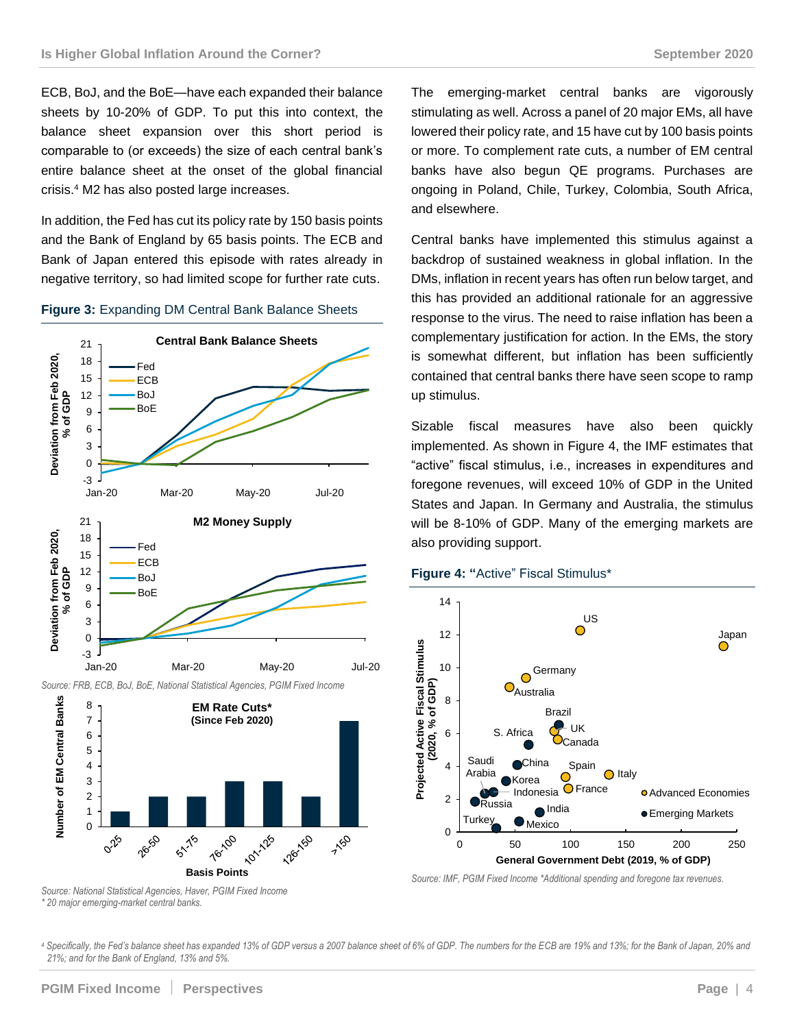ECB, BoJ, and the BoE—have each expanded their balance sheets by 10-20% of GDP. To put this into context, the balance sheet expansion over this short period is comparable to (or exceeds) the size of each central bank's entire balance sheet at the onset of the global financial crisis.<sup>4</sup> M2 has also posted large increases.

In addition, the Fed has cut its policy rate by 150 basis points and the Bank of England by 65 basis points. The ECB and Bank of Japan entered this episode with rates already in negative territory, so had limited scope for further rate cuts.

#### **Figure 3:** Expanding DM Central Bank Balance Sheets



The emerging-market central banks are vigorously stimulating as well. Across a panel of 20 major EMs, all have lowered their policy rate, and 15 have cut by 100 basis points or more. To complement rate cuts, a number of EM central banks have also begun QE programs. Purchases are ongoing in Poland, Chile, Turkey, Colombia, South Africa, and elsewhere.

Central banks have implemented this stimulus against a backdrop of sustained weakness in global inflation. In the DMs, inflation in recent years has often run below target, and this has provided an additional rationale for an aggressive response to the virus. The need to raise inflation has been a complementary justification for action. In the EMs, the story is somewhat different, but inflation has been sufficiently contained that central banks there have seen scope to ramp up stimulus.

Sizable fiscal measures have also been quickly implemented. As shown in Figure 4, the IMF estimates that "active" fiscal stimulus, i.e., increases in expenditures and foregone revenues, will exceed 10% of GDP in the United States and Japan. In Germany and Australia, the stimulus will be 8-10% of GDP. Many of the emerging markets are also providing support.

#### **Figure 4: "**Active" Fiscal Stimulus\*



*Source: IMF, PGIM Fixed Income \*Additional spending and foregone tax revenues.*

*Source: National Statistical Agencies, Haver, PGIM Fixed Income \* 20 major emerging-market central banks.*

*<sup>4</sup> Specifically, the Fed's balance sheet has expanded 13% of GDP versus a 2007 balance sheet of 6% of GDP. The numbers for the ECB are 19% and 13%; for the Bank of Japan, 20% and 21%; and for the Bank of England, 13% and 5%.*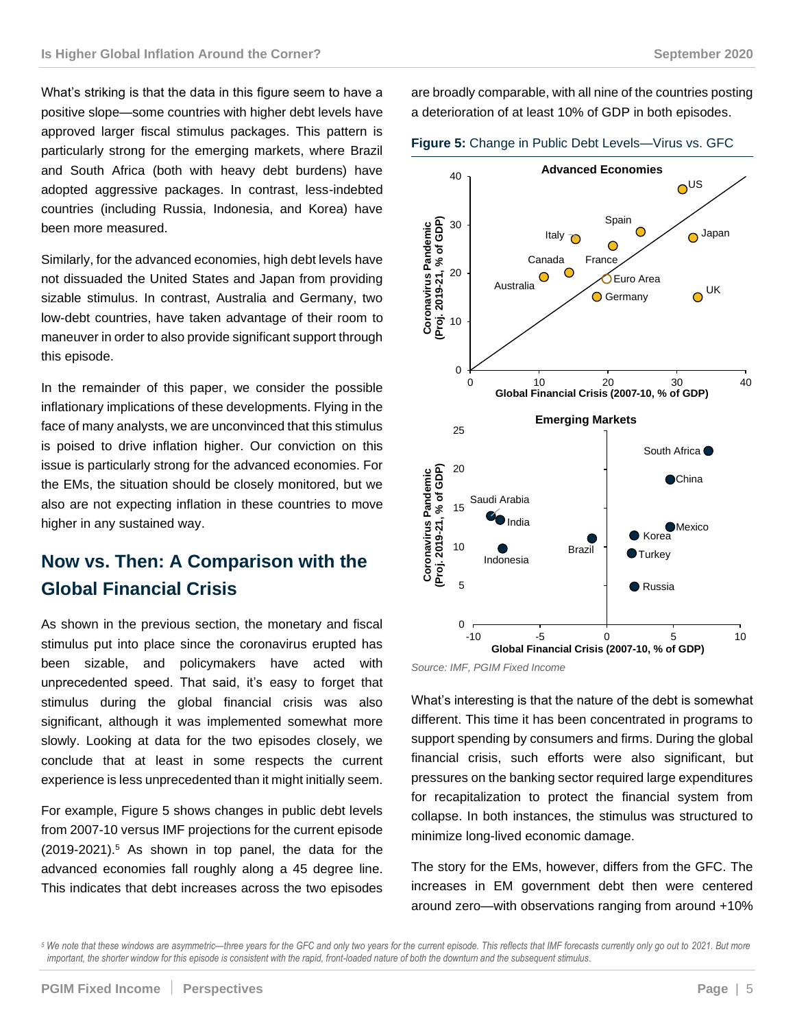What's striking is that the data in this figure seem to have a positive slope—some countries with higher debt levels have approved larger fiscal stimulus packages. This pattern is particularly strong for the emerging markets, where Brazil and South Africa (both with heavy debt burdens) have adopted aggressive packages. In contrast, less-indebted countries (including Russia, Indonesia, and Korea) have been more measured.

Similarly, for the advanced economies, high debt levels have not dissuaded the United States and Japan from providing sizable stimulus. In contrast, Australia and Germany, two low-debt countries, have taken advantage of their room to maneuver in order to also provide significant support through this episode.

In the remainder of this paper, we consider the possible inflationary implications of these developments. Flying in the face of many analysts, we are unconvinced that this stimulus is poised to drive inflation higher. Our conviction on this issue is particularly strong for the advanced economies. For the EMs, the situation should be closely monitored, but we also are not expecting inflation in these countries to move higher in any sustained way.

## **Now vs. Then: A Comparison with the Global Financial Crisis**

As shown in the previous section, the monetary and fiscal stimulus put into place since the coronavirus erupted has been sizable, and policymakers have acted with unprecedented speed. That said, it's easy to forget that stimulus during the global financial crisis was also significant, although it was implemented somewhat more slowly. Looking at data for the two episodes closely, we conclude that at least in some respects the current experience is less unprecedented than it might initially seem.

For example, Figure 5 shows changes in public debt levels from 2007-10 versus IMF projections for the current episode (2019-2021).<sup>5</sup> As shown in top panel, the data for the advanced economies fall roughly along a 45 degree line. This indicates that debt increases across the two episodes

are broadly comparable, with all nine of the countries posting a deterioration of at least 10% of GDP in both episodes.





*Source: IMF, PGIM Fixed Income*

What's interesting is that the nature of the debt is somewhat different. This time it has been concentrated in programs to support spending by consumers and firms. During the global financial crisis, such efforts were also significant, but pressures on the banking sector required large expenditures for recapitalization to protect the financial system from collapse. In both instances, the stimulus was structured to minimize long-lived economic damage.

The story for the EMs, however, differs from the GFC. The increases in EM government debt then were centered around zero—with observations ranging from around +10%

*<sup>5</sup> We note that these windows are asymmetric—three years for the GFC and only two years for the current episode. This reflects that IMF forecasts currently only go out to 2021. But more*  important, the shorter window for this episode is consistent with the rapid, front-loaded nature of both the downturn and the subsequent stimulus.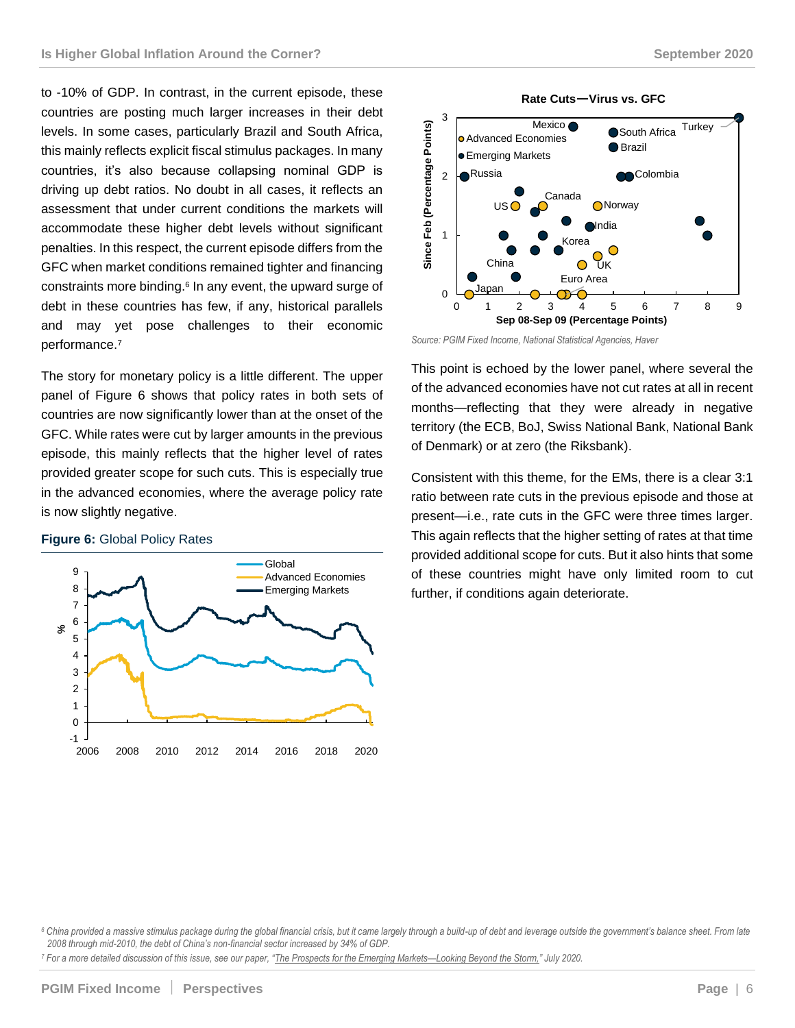to -10% of GDP. In contrast, in the current episode, these countries are posting much larger increases in their debt levels. In some cases, particularly Brazil and South Africa, this mainly reflects explicit fiscal stimulus packages. In many countries, it's also because collapsing nominal GDP is driving up debt ratios. No doubt in all cases, it reflects an assessment that under current conditions the markets will accommodate these higher debt levels without significant penalties. In this respect, the current episode differs from the GFC when market conditions remained tighter and financing constraints more binding.<sup>6</sup> In any event, the upward surge of debt in these countries has few, if any, historical parallels and may yet pose challenges to their economic performance. 7

The story for monetary policy is a little different. The upper panel of Figure 6 shows that policy rates in both sets of countries are now significantly lower than at the onset of the GFC. While rates were cut by larger amounts in the previous episode, this mainly reflects that the higher level of rates provided greater scope for such cuts. This is especially true in the advanced economies, where the average policy rate is now slightly negative.

#### **Figure 6:** Global Policy Rates







*Source: PGIM Fixed Income, National Statistical Agencies, Haver*

This point is echoed by the lower panel, where several the of the advanced economies have not cut rates at all in recent months—reflecting that they were already in negative territory (the ECB, BoJ, Swiss National Bank, National Bank of Denmark) or at zero (the Riksbank).

Consistent with this theme, for the EMs, there is a clear 3:1 ratio between rate cuts in the previous episode and those at present—i.e., rate cuts in the GFC were three times larger. This again reflects that the higher setting of rates at that time provided additional scope for cuts. But it also hints that some of these countries might have only limited room to cut further, if conditions again deteriorate.

*<sup>7</sup> For a more detailed discussion of this issue, see our paper, "[The Prospects for the Emerging Markets](https://cdn.pficdn.com/cms/pgim-fixed-income/sites/default/files/2020-07/PGIM-Fixed-Income-The-Prospects-for-the-Emerging-Markets-Looking-Beyond-the-Storm.pdf)—Looking Beyond the Storm," July 2020.*

*<sup>6</sup> China provided a massive stimulus package during the global financial crisis, but it came largely through a build-up of debt and leverage outside the government's balance sheet. From late 2008 through mid-2010, the debt of China's non-financial sector increased by 34% of GDP.*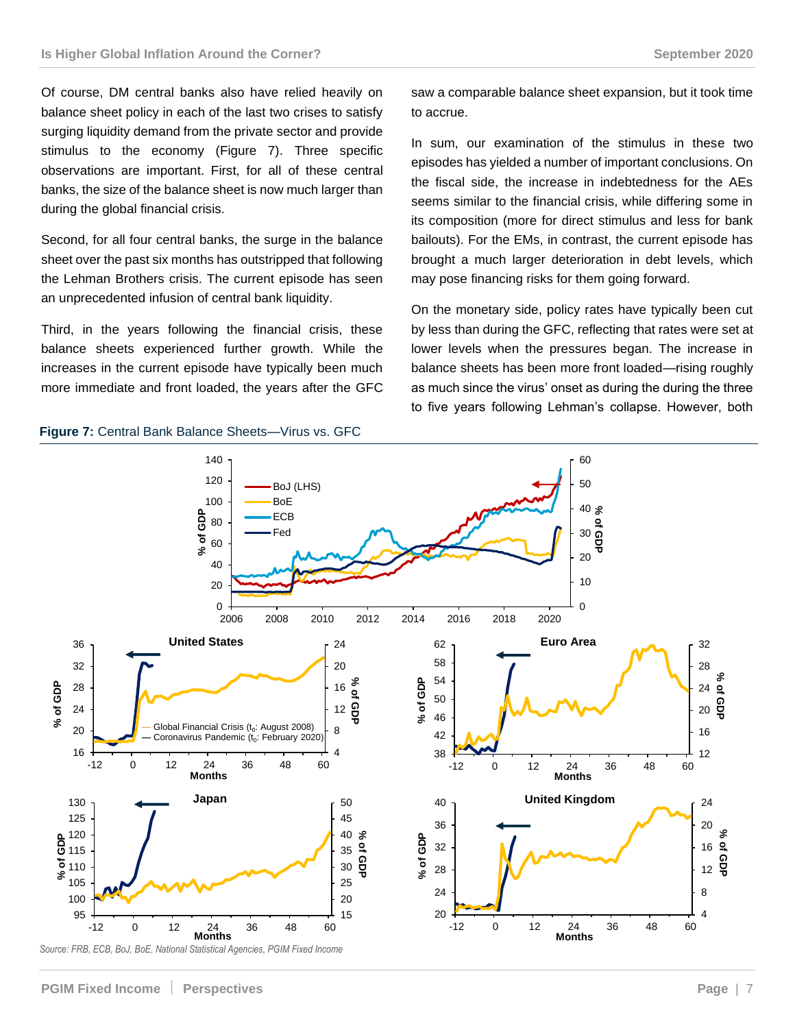Of course, DM central banks also have relied heavily on balance sheet policy in each of the last two crises to satisfy surging liquidity demand from the private sector and provide stimulus to the economy (Figure 7). Three specific observations are important. First, for all of these central banks, the size of the balance sheet is now much larger than during the global financial crisis.

Second, for all four central banks, the surge in the balance sheet over the past six months has outstripped that following the Lehman Brothers crisis. The current episode has seen an unprecedented infusion of central bank liquidity.

Third, in the years following the financial crisis, these balance sheets experienced further growth. While the increases in the current episode have typically been much more immediate and front loaded, the years after the GFC

saw a comparable balance sheet expansion, but it took time to accrue.

In sum, our examination of the stimulus in these two episodes has yielded a number of important conclusions. On the fiscal side, the increase in indebtedness for the AEs seems similar to the financial crisis, while differing some in its composition (more for direct stimulus and less for bank bailouts). For the EMs, in contrast, the current episode has brought a much larger deterioration in debt levels, which may pose financing risks for them going forward.

On the monetary side, policy rates have typically been cut by less than during the GFC, reflecting that rates were set at lower levels when the pressures began. The increase in balance sheets has been more front loaded—rising roughly as much since the virus' onset as during the during the three to five years following Lehman's collapse. However, both

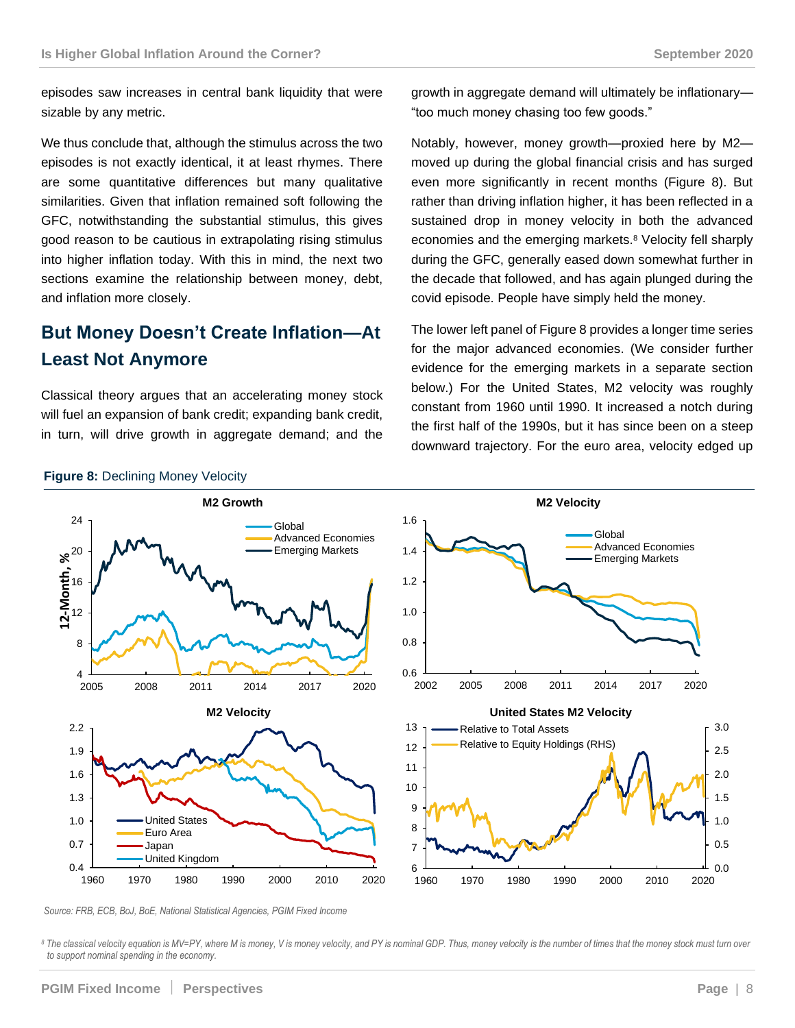episodes saw increases in central bank liquidity that were sizable by any metric.

We thus conclude that, although the stimulus across the two episodes is not exactly identical, it at least rhymes. There are some quantitative differences but many qualitative similarities. Given that inflation remained soft following the GFC, notwithstanding the substantial stimulus, this gives good reason to be cautious in extrapolating rising stimulus into higher inflation today. With this in mind, the next two sections examine the relationship between money, debt, and inflation more closely.

## **But Money Doesn't Create Inflation—At Least Not Anymore**

Classical theory argues that an accelerating money stock will fuel an expansion of bank credit; expanding bank credit, in turn, will drive growth in aggregate demand; and the growth in aggregate demand will ultimately be inflationary— "too much money chasing too few goods."

Notably, however, money growth—proxied here by M2 moved up during the global financial crisis and has surged even more significantly in recent months (Figure 8). But rather than driving inflation higher, it has been reflected in a sustained drop in money velocity in both the advanced economies and the emerging markets.<sup>8</sup> Velocity fell sharply during the GFC, generally eased down somewhat further in the decade that followed, and has again plunged during the covid episode. People have simply held the money.

The lower left panel of Figure 8 provides a longer time series for the major advanced economies. (We consider further evidence for the emerging markets in a separate section below.) For the United States, M2 velocity was roughly constant from 1960 until 1990. It increased a notch during the first half of the 1990s, but it has since been on a steep downward trajectory. For the euro area, velocity edged up



**Figure 8: Declining Money Velocity** 

*Source: FRB, ECB, BoJ, BoE, National Statistical Agencies, PGIM Fixed Income*

*<sup>8</sup> The classical velocity equation is MV=PY, where M is money, V is money velocity, and PY is nominal GDP. Thus, money velocity is the number of times that the money stock must turn over to support nominal spending in the economy.*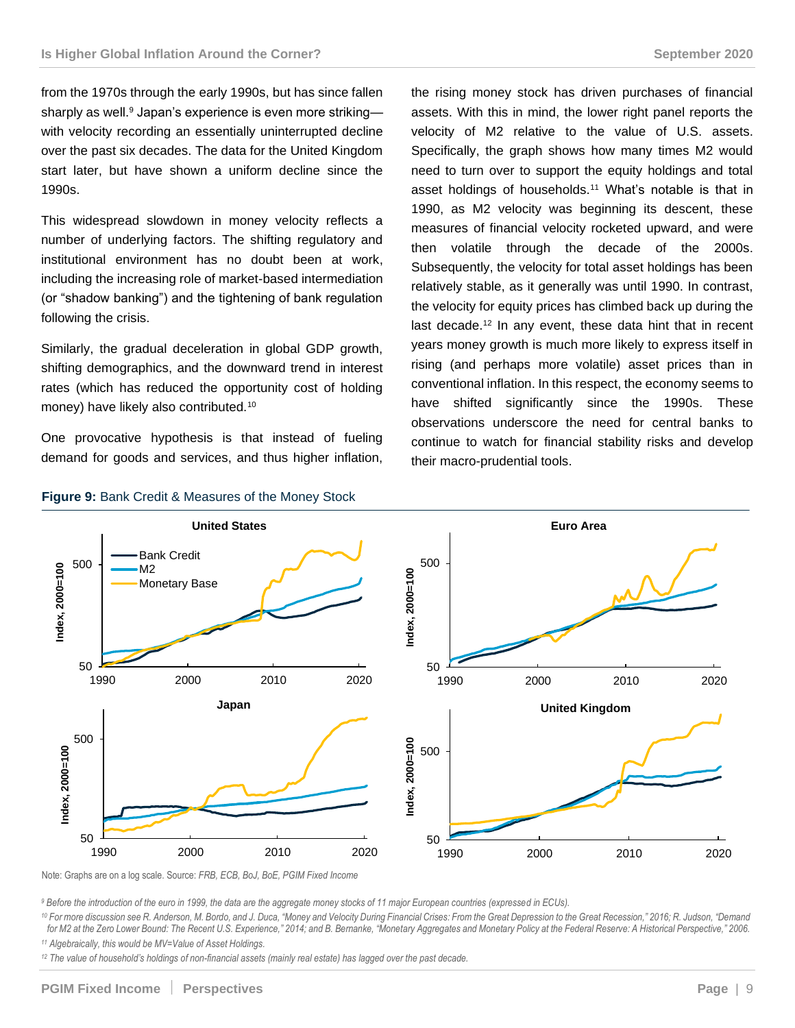from the 1970s through the early 1990s, but has since fallen sharply as well.<sup>9</sup> Japan's experience is even more striking with velocity recording an essentially uninterrupted decline over the past six decades. The data for the United Kingdom start later, but have shown a uniform decline since the 1990s.

This widespread slowdown in money velocity reflects a number of underlying factors. The shifting regulatory and institutional environment has no doubt been at work, including the increasing role of market-based intermediation (or "shadow banking") and the tightening of bank regulation following the crisis.

Similarly, the gradual deceleration in global GDP growth, shifting demographics, and the downward trend in interest rates (which has reduced the opportunity cost of holding money) have likely also contributed.<sup>10</sup>

One provocative hypothesis is that instead of fueling demand for goods and services, and thus higher inflation, the rising money stock has driven purchases of financial assets. With this in mind, the lower right panel reports the velocity of M2 relative to the value of U.S. assets. Specifically, the graph shows how many times M2 would need to turn over to support the equity holdings and total asset holdings of households.<sup>11</sup> What's notable is that in 1990, as M2 velocity was beginning its descent, these measures of financial velocity rocketed upward, and were then volatile through the decade of the 2000s. Subsequently, the velocity for total asset holdings has been relatively stable, as it generally was until 1990. In contrast, the velocity for equity prices has climbed back up during the last decade.<sup>12</sup> In any event, these data hint that in recent years money growth is much more likely to express itself in rising (and perhaps more volatile) asset prices than in conventional inflation. In this respect, the economy seems to have shifted significantly since the 1990s. These observations underscore the need for central banks to continue to watch for financial stability risks and develop their macro-prudential tools.



#### **Figure 9:** Bank Credit & Measures of the Money Stock

*<sup>9</sup> Before the introduction of the euro in 1999, the data are the aggregate money stocks of 11 major European countries (expressed in ECUs).*

*<sup>10</sup> For more discussion see R. Anderson, M. Bordo, and J. Duca, "Money and Velocity During Financial Crises: From the Great Depression to the Great Recession," 2016; R. Judson, "Demand for M2 at the Zero Lower Bound: The Recent U.S. Experience," 2014; and B. Bernanke, "Monetary Aggregates and Monetary Policy at the Federal Reserve: A Historical Perspective," 2006. <sup>11</sup> Algebraically, this would be MV=Value of Asset Holdings.*

*<sup>12</sup> The value of household's holdings of non-financial assets (mainly real estate) has lagged over the past decade.*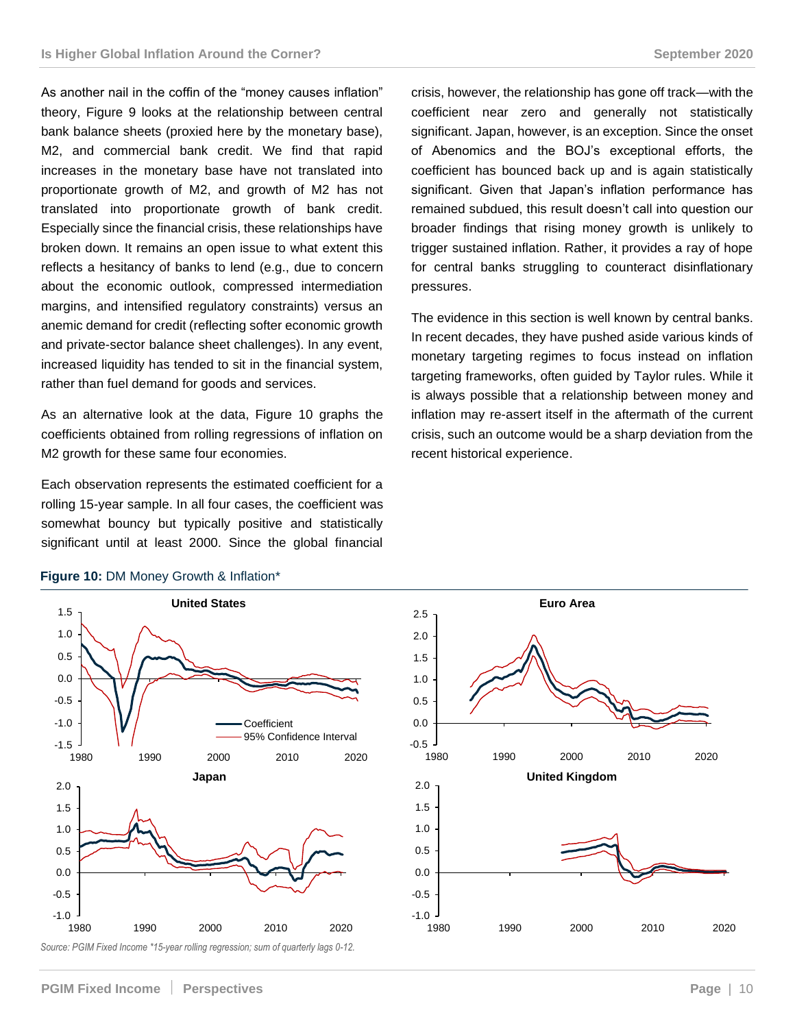As another nail in the coffin of the "money causes inflation" theory, Figure 9 looks at the relationship between central bank balance sheets (proxied here by the monetary base), M2, and commercial bank credit. We find that rapid increases in the monetary base have not translated into proportionate growth of M2, and growth of M2 has not translated into proportionate growth of bank credit. Especially since the financial crisis, these relationships have broken down. It remains an open issue to what extent this reflects a hesitancy of banks to lend (e.g., due to concern about the economic outlook, compressed intermediation margins, and intensified regulatory constraints) versus an anemic demand for credit (reflecting softer economic growth and private-sector balance sheet challenges). In any event, increased liquidity has tended to sit in the financial system, rather than fuel demand for goods and services.

As an alternative look at the data, Figure 10 graphs the coefficients obtained from rolling regressions of inflation on M2 growth for these same four economies.

Each observation represents the estimated coefficient for a rolling 15-year sample. In all four cases, the coefficient was somewhat bouncy but typically positive and statistically significant until at least 2000. Since the global financial

crisis, however, the relationship has gone off track—with the coefficient near zero and generally not statistically significant. Japan, however, is an exception. Since the onset of Abenomics and the BOJ's exceptional efforts, the coefficient has bounced back up and is again statistically significant. Given that Japan's inflation performance has remained subdued, this result doesn't call into question our broader findings that rising money growth is unlikely to trigger sustained inflation. Rather, it provides a ray of hope for central banks struggling to counteract disinflationary pressures.

The evidence in this section is well known by central banks. In recent decades, they have pushed aside various kinds of monetary targeting regimes to focus instead on inflation targeting frameworks, often guided by Taylor rules. While it is always possible that a relationship between money and inflation may re-assert itself in the aftermath of the current crisis, such an outcome would be a sharp deviation from the recent historical experience.



#### **Figure 10:** DM Money Growth & Inflation\*



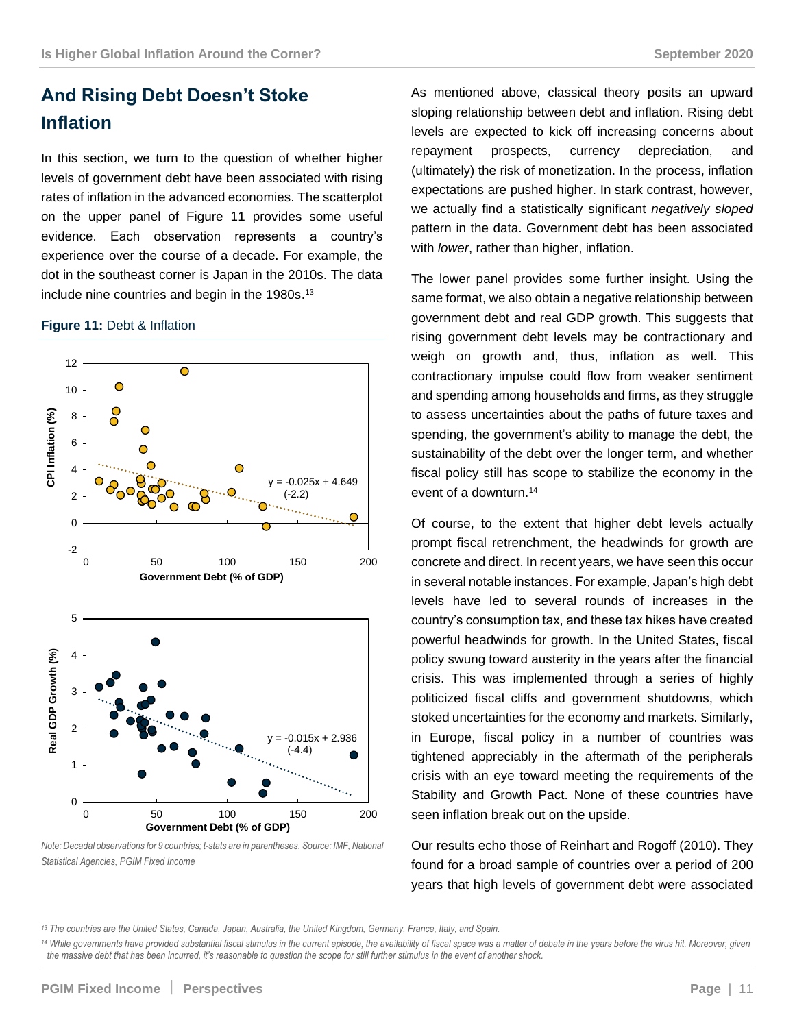## **And Rising Debt Doesn't Stoke Inflation**

In this section, we turn to the question of whether higher levels of government debt have been associated with rising rates of inflation in the advanced economies. The scatterplot on the upper panel of Figure 11 provides some useful evidence. Each observation represents a country's experience over the course of a decade. For example, the dot in the southeast corner is Japan in the 2010s. The data include nine countries and begin in the 1980s. 13

#### **Figure 11:** Debt & Inflation



*Note: Decadal observations for 9 countries; t-stats are in parentheses. Source: IMF, National Statistical Agencies, PGIM Fixed Income*

As mentioned above, classical theory posits an upward sloping relationship between debt and inflation. Rising debt levels are expected to kick off increasing concerns about repayment prospects, currency depreciation, and (ultimately) the risk of monetization. In the process, inflation expectations are pushed higher. In stark contrast, however, we actually find a statistically significant *negatively sloped* pattern in the data. Government debt has been associated with *lower*, rather than higher, inflation.

The lower panel provides some further insight. Using the same format, we also obtain a negative relationship between government debt and real GDP growth. This suggests that rising government debt levels may be contractionary and weigh on growth and, thus, inflation as well. This contractionary impulse could flow from weaker sentiment and spending among households and firms, as they struggle to assess uncertainties about the paths of future taxes and spending, the government's ability to manage the debt, the sustainability of the debt over the longer term, and whether fiscal policy still has scope to stabilize the economy in the event of a downturn.<sup>14</sup>

Of course, to the extent that higher debt levels actually prompt fiscal retrenchment, the headwinds for growth are concrete and direct. In recent years, we have seen this occur in several notable instances. For example, Japan's high debt levels have led to several rounds of increases in the country's consumption tax, and these tax hikes have created powerful headwinds for growth. In the United States, fiscal policy swung toward austerity in the years after the financial crisis. This was implemented through a series of highly politicized fiscal cliffs and government shutdowns, which stoked uncertainties for the economy and markets. Similarly, in Europe, fiscal policy in a number of countries was tightened appreciably in the aftermath of the peripherals crisis with an eye toward meeting the requirements of the Stability and Growth Pact. None of these countries have seen inflation break out on the upside.

Our results echo those of Reinhart and Rogoff (2010). They found for a broad sample of countries over a period of 200 years that high levels of government debt were associated

*<sup>13</sup> The countries are the United States, Canada, Japan, Australia, the United Kingdom, Germany, France, Italy, and Spain.*

<sup>14</sup> While governments have provided substantial fiscal stimulus in the current episode, the availability of fiscal space was a matter of debate in the years before the virus hit. Moreover, given *the massive debt that has been incurred, it's reasonable to question the scope for still further stimulus in the event of another shock.*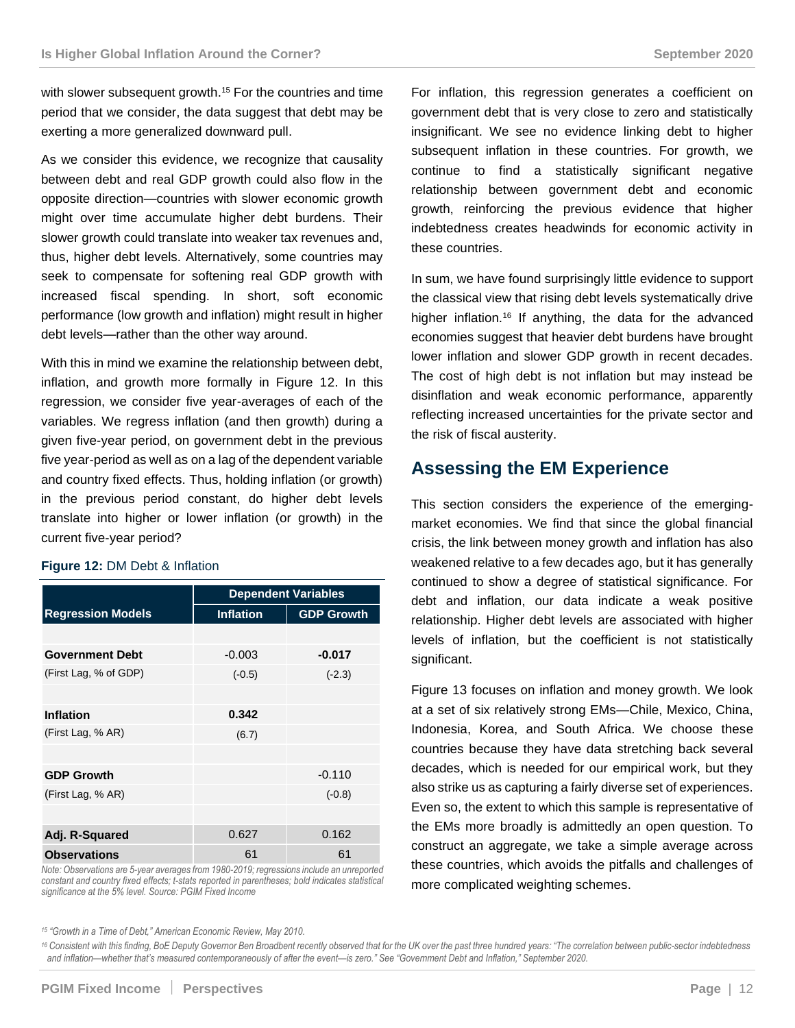with slower subsequent growth. <sup>15</sup> For the countries and time period that we consider, the data suggest that debt may be exerting a more generalized downward pull.

As we consider this evidence, we recognize that causality between debt and real GDP growth could also flow in the opposite direction—countries with slower economic growth might over time accumulate higher debt burdens. Their slower growth could translate into weaker tax revenues and, thus, higher debt levels. Alternatively, some countries may seek to compensate for softening real GDP growth with increased fiscal spending. In short, soft economic performance (low growth and inflation) might result in higher debt levels—rather than the other way around.

With this in mind we examine the relationship between debt, inflation, and growth more formally in Figure 12. In this regression, we consider five year-averages of each of the variables. We regress inflation (and then growth) during a given five-year period, on government debt in the previous five year-period as well as on a lag of the dependent variable and country fixed effects. Thus, holding inflation (or growth) in the previous period constant, do higher debt levels translate into higher or lower inflation (or growth) in the current five-year period?

#### **Figure 12:** DM Debt & Inflation

|                          | <b>Dependent Variables</b> |                   |
|--------------------------|----------------------------|-------------------|
| <b>Regression Models</b> | <b>Inflation</b>           | <b>GDP Growth</b> |
|                          |                            |                   |
| <b>Government Debt</b>   | $-0.003$                   | $-0.017$          |
| (First Lag, % of GDP)    | $(-0.5)$                   | $(-2.3)$          |
|                          |                            |                   |
| <b>Inflation</b>         | 0.342                      |                   |
| (First Lag, % AR)        | (6.7)                      |                   |
|                          |                            |                   |
| <b>GDP Growth</b>        |                            | $-0.110$          |
| (First Lag, % AR)        |                            | $(-0.8)$          |
|                          |                            |                   |
| Adj. R-Squared           | 0.627                      | 0.162             |
| <b>Observations</b>      | 61                         | 61                |

*Note: Observations are 5-year averages from 1980-2019; regressions include an unreported constant and country fixed effects; t-stats reported in parentheses; bold indicates statistical significance at the 5% level. Source: PGIM Fixed Income*

For inflation, this regression generates a coefficient on government debt that is very close to zero and statistically insignificant. We see no evidence linking debt to higher subsequent inflation in these countries. For growth, we continue to find a statistically significant negative relationship between government debt and economic growth, reinforcing the previous evidence that higher indebtedness creates headwinds for economic activity in these countries.

In sum, we have found surprisingly little evidence to support the classical view that rising debt levels systematically drive higher inflation.<sup>16</sup> If anything, the data for the advanced economies suggest that heavier debt burdens have brought lower inflation and slower GDP growth in recent decades. The cost of high debt is not inflation but may instead be disinflation and weak economic performance, apparently reflecting increased uncertainties for the private sector and the risk of fiscal austerity.

### **Assessing the EM Experience**

This section considers the experience of the emergingmarket economies. We find that since the global financial crisis, the link between money growth and inflation has also weakened relative to a few decades ago, but it has generally continued to show a degree of statistical significance. For debt and inflation, our data indicate a weak positive relationship. Higher debt levels are associated with higher levels of inflation, but the coefficient is not statistically significant.

Figure 13 focuses on inflation and money growth. We look at a set of six relatively strong EMs—Chile, Mexico, China, Indonesia, Korea, and South Africa. We choose these countries because they have data stretching back several decades, which is needed for our empirical work, but they also strike us as capturing a fairly diverse set of experiences. Even so, the extent to which this sample is representative of the EMs more broadly is admittedly an open question. To construct an aggregate, we take a simple average across these countries, which avoids the pitfalls and challenges of more complicated weighting schemes.

*<sup>15</sup> "Growth in a Time of Debt," American Economic Review, May 2010.*

<sup>16</sup> Consistent with this finding, BoE Deputy Governor Ben Broadbent recently observed that for the UK over the past three hundred years: "The correlation between public-sector indebtedness *and inflation—whether that's measured contemporaneously of after the event—is zero." See "Government Debt and Inflation," September 2020.*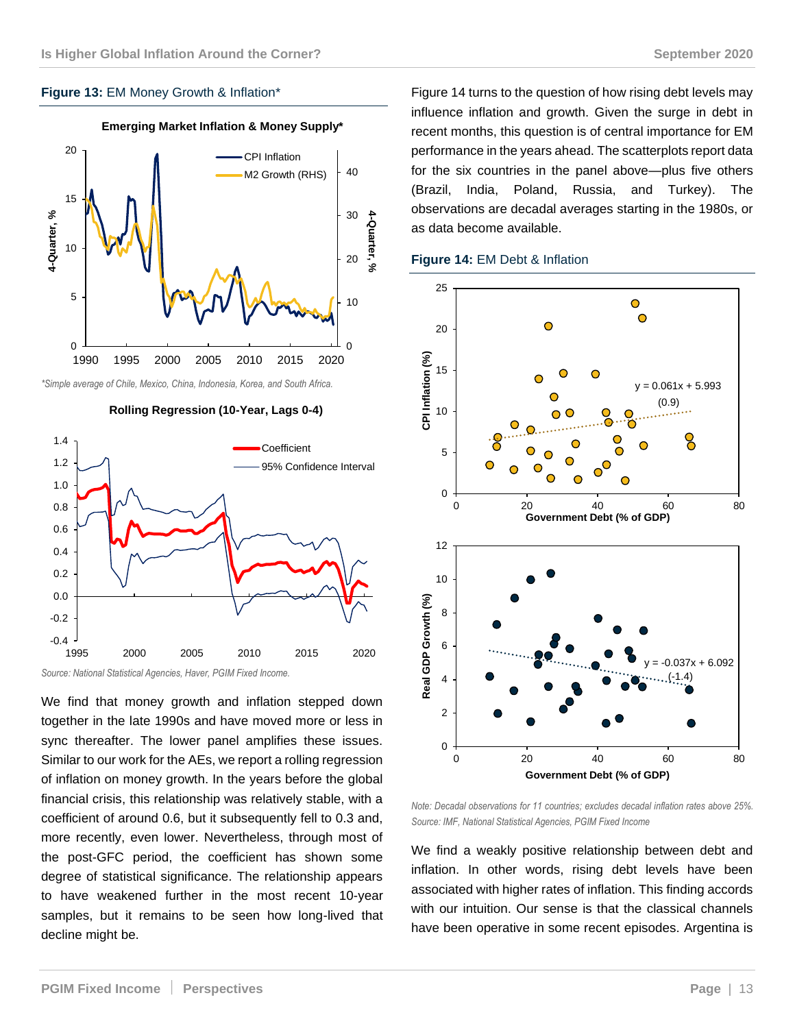### **Figure 13:** EM Money Growth & Inflation\*



*\*Simple average of Chile, Mexico, China, Indonesia, Korea, and South Africa.*





*Source: National Statistical Agencies, Haver, PGIM Fixed Income.* 

We find that money growth and inflation stepped down together in the late 1990s and have moved more or less in sync thereafter. The lower panel amplifies these issues. Similar to our work for the AEs, we report a rolling regression of inflation on money growth. In the years before the global financial crisis, this relationship was relatively stable, with a coefficient of around 0.6, but it subsequently fell to 0.3 and, more recently, even lower. Nevertheless, through most of the post-GFC period, the coefficient has shown some degree of statistical significance. The relationship appears to have weakened further in the most recent 10-year samples, but it remains to be seen how long-lived that decline might be.

Figure 14 turns to the question of how rising debt levels may influence inflation and growth. Given the surge in debt in recent months, this question is of central importance for EM performance in the years ahead. The scatterplots report data for the six countries in the panel above—plus five others (Brazil, India, Poland, Russia, and Turkey). The observations are decadal averages starting in the 1980s, or as data become available.

#### **Figure 14:** EM Debt & Inflation



*Note: Decadal observations for 11 countries; excludes decadal inflation rates above 25%. Source: IMF, National Statistical Agencies, PGIM Fixed Income*

We find a weakly positive relationship between debt and inflation. In other words, rising debt levels have been associated with higher rates of inflation. This finding accords with our intuition. Our sense is that the classical channels have been operative in some recent episodes. Argentina is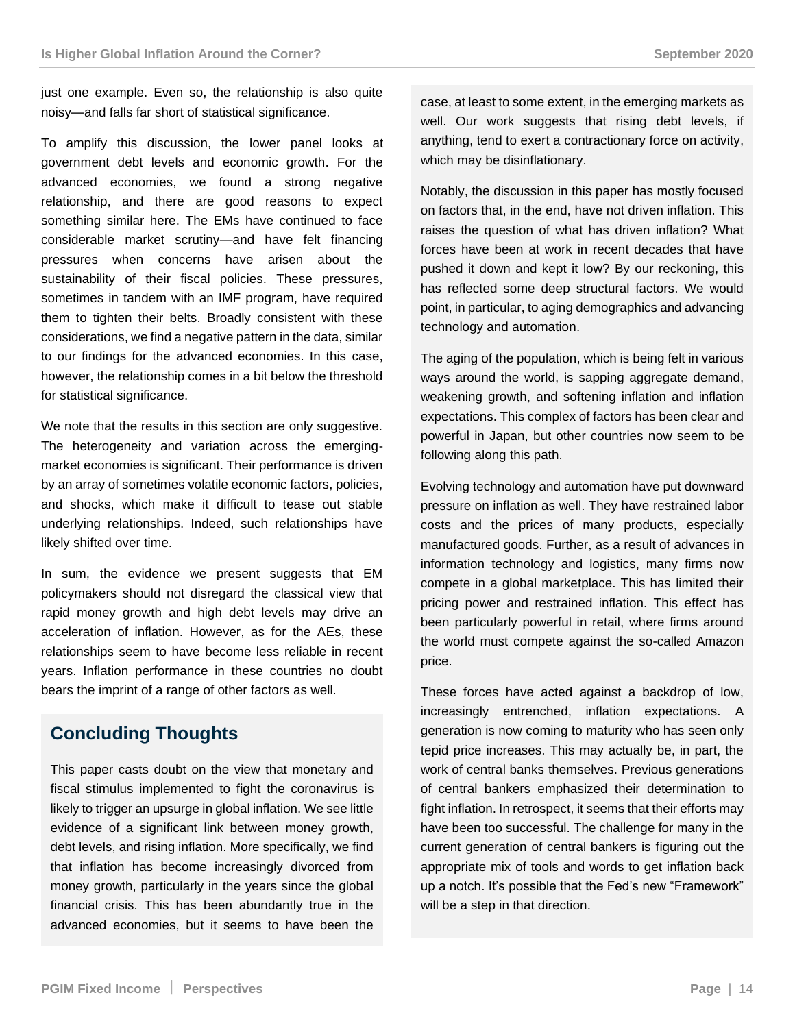just one example. Even so, the relationship is also quite noisy—and falls far short of statistical significance.

To amplify this discussion, the lower panel looks at government debt levels and economic growth. For the advanced economies, we found a strong negative relationship, and there are good reasons to expect something similar here. The EMs have continued to face considerable market scrutiny—and have felt financing pressures when concerns have arisen about the sustainability of their fiscal policies. These pressures, sometimes in tandem with an IMF program, have required them to tighten their belts. Broadly consistent with these considerations, we find a negative pattern in the data, similar to our findings for the advanced economies. In this case, however, the relationship comes in a bit below the threshold for statistical significance.

We note that the results in this section are only suggestive. The heterogeneity and variation across the emergingmarket economies is significant. Their performance is driven by an array of sometimes volatile economic factors, policies, and shocks, which make it difficult to tease out stable underlying relationships. Indeed, such relationships have likely shifted over time.

In sum, the evidence we present suggests that EM policymakers should not disregard the classical view that rapid money growth and high debt levels may drive an acceleration of inflation. However, as for the AEs, these relationships seem to have become less reliable in recent years. Inflation performance in these countries no doubt bears the imprint of a range of other factors as well.

## **Concluding Thoughts**

This paper casts doubt on the view that monetary and fiscal stimulus implemented to fight the coronavirus is likely to trigger an upsurge in global inflation. We see little evidence of a significant link between money growth, debt levels, and rising inflation. More specifically, we find that inflation has become increasingly divorced from money growth, particularly in the years since the global financial crisis. This has been abundantly true in the advanced economies, but it seems to have been the

case, at least to some extent, in the emerging markets as well. Our work suggests that rising debt levels, if anything, tend to exert a contractionary force on activity, which may be disinflationary.

Notably, the discussion in this paper has mostly focused on factors that, in the end, have not driven inflation. This raises the question of what has driven inflation? What forces have been at work in recent decades that have pushed it down and kept it low? By our reckoning, this has reflected some deep structural factors. We would point, in particular, to aging demographics and advancing technology and automation.

The aging of the population, which is being felt in various ways around the world, is sapping aggregate demand, weakening growth, and softening inflation and inflation expectations. This complex of factors has been clear and powerful in Japan, but other countries now seem to be following along this path.

Evolving technology and automation have put downward pressure on inflation as well. They have restrained labor costs and the prices of many products, especially manufactured goods. Further, as a result of advances in information technology and logistics, many firms now compete in a global marketplace. This has limited their pricing power and restrained inflation. This effect has been particularly powerful in retail, where firms around the world must compete against the so-called Amazon price.

These forces have acted against a backdrop of low, increasingly entrenched, inflation expectations. A generation is now coming to maturity who has seen only tepid price increases. This may actually be, in part, the work of central banks themselves. Previous generations of central bankers emphasized their determination to fight inflation. In retrospect, it seems that their efforts may have been too successful. The challenge for many in the current generation of central bankers is figuring out the appropriate mix of tools and words to get inflation back up a notch. It's possible that the Fed's new "Framework" will be a step in that direction.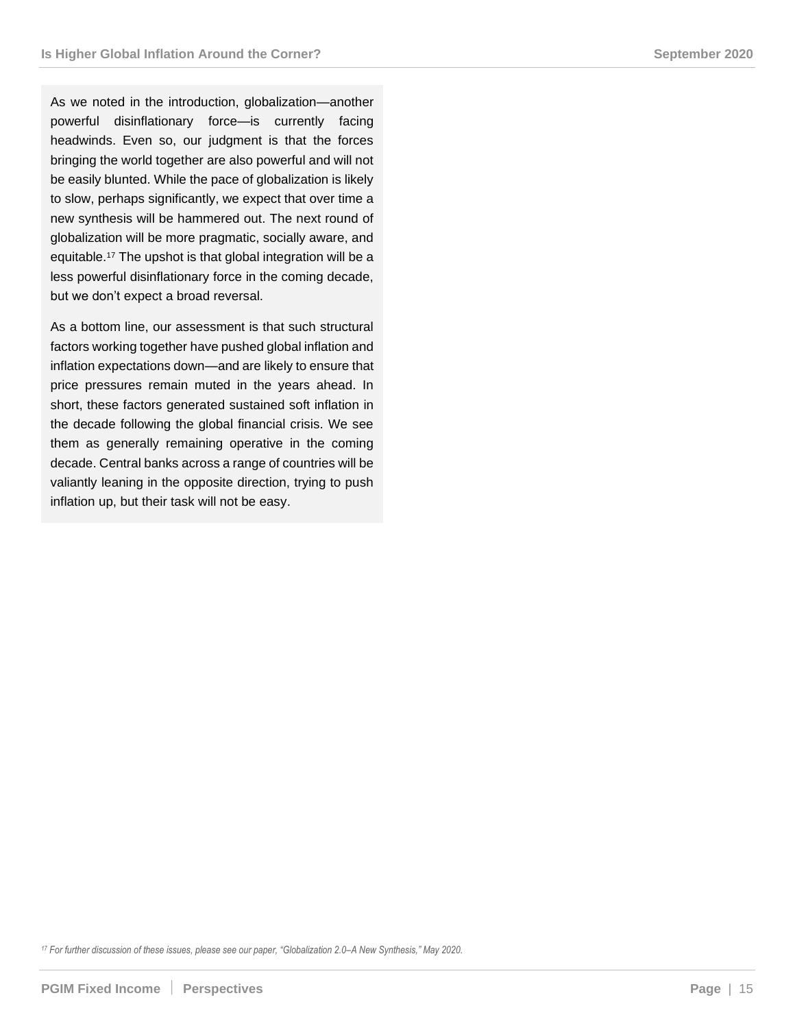As we noted in the introduction, globalization—another powerful disinflationary force—is currently facing headwinds. Even so, our judgment is that the forces bringing the world together are also powerful and will not be easily blunted. While the pace of globalization is likely to slow, perhaps significantly, we expect that over time a new synthesis will be hammered out. The next round of globalization will be more pragmatic, socially aware, and equitable.<sup>17</sup> The upshot is that global integration will be a less powerful disinflationary force in the coming decade, but we don't expect a broad reversal.

As a bottom line, our assessment is that such structural factors working together have pushed global inflation and inflation expectations down—and are likely to ensure that price pressures remain muted in the years ahead. In short, these factors generated sustained soft inflation in the decade following the global financial crisis. We see them as generally remaining operative in the coming decade. Central banks across a range of countries will be valiantly leaning in the opposite direction, trying to push inflation up, but their task will not be easy.

*<sup>17</sup> For further discussion of these issues, please see our paper, "Globalization 2.0–A New Synthesis," May 2020.*